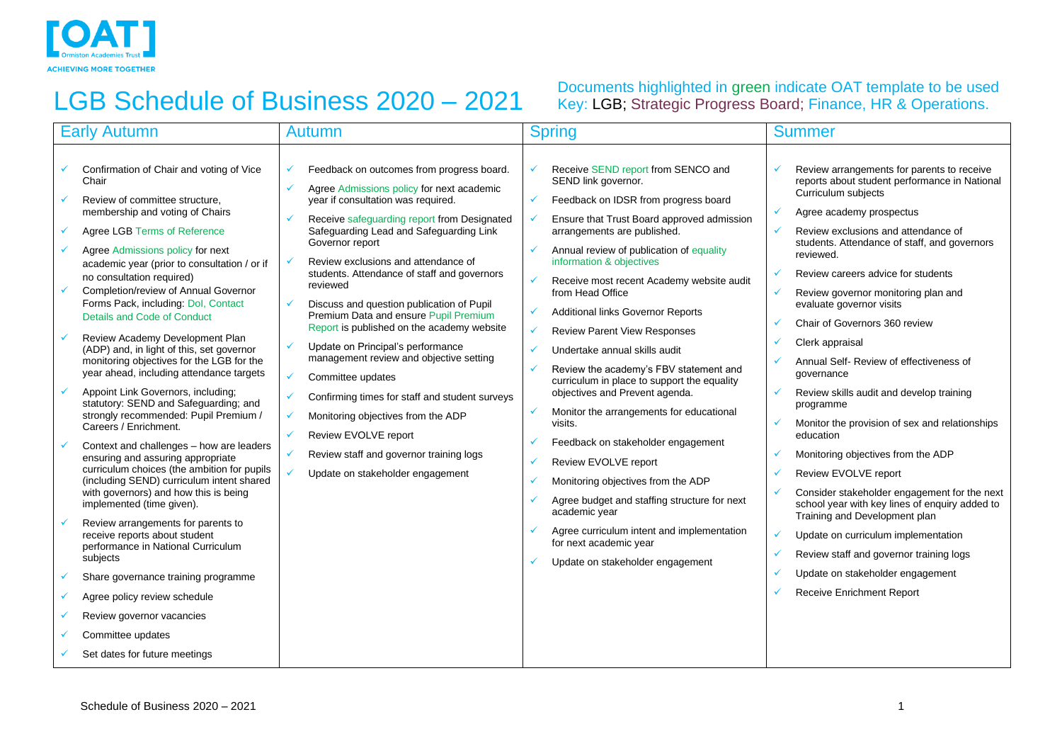

## LGB Schedule of Business 2020 – 2021

Documents highlighted in green indicate OAT template to be used Key: LGB; Strategic Progress Board; Finance, HR & Operations.

| <b>Early Autumn</b><br><b>Autumn</b>                                                                                                                                                                                                                                                                                                                                                                                                                                                                                                                                                                                                                                                                                                                                                                                                                                                                                                                                                                                                                                                                                                                                                                                                                                                                                                                                                                                                                                                                                                                                                                                                                                                                                                                                                                                                                                                                                                                                                                                                                                                                                                                                                                                                                                             | <b>Spring</b>                                                                                                                                                                                                                                                                                                                                                                                                                                                                                                                                                                                                                                                                                                                                                                                                                                                                                                  | <b>Summer</b>                                                                                                                                                                                                                                                                                                                                                                                                                                                                                                                                                                                                                                                                                                                                                                                                                                                                                                                                                                                                                                                                                                                                   |
|----------------------------------------------------------------------------------------------------------------------------------------------------------------------------------------------------------------------------------------------------------------------------------------------------------------------------------------------------------------------------------------------------------------------------------------------------------------------------------------------------------------------------------------------------------------------------------------------------------------------------------------------------------------------------------------------------------------------------------------------------------------------------------------------------------------------------------------------------------------------------------------------------------------------------------------------------------------------------------------------------------------------------------------------------------------------------------------------------------------------------------------------------------------------------------------------------------------------------------------------------------------------------------------------------------------------------------------------------------------------------------------------------------------------------------------------------------------------------------------------------------------------------------------------------------------------------------------------------------------------------------------------------------------------------------------------------------------------------------------------------------------------------------------------------------------------------------------------------------------------------------------------------------------------------------------------------------------------------------------------------------------------------------------------------------------------------------------------------------------------------------------------------------------------------------------------------------------------------------------------------------------------------------|----------------------------------------------------------------------------------------------------------------------------------------------------------------------------------------------------------------------------------------------------------------------------------------------------------------------------------------------------------------------------------------------------------------------------------------------------------------------------------------------------------------------------------------------------------------------------------------------------------------------------------------------------------------------------------------------------------------------------------------------------------------------------------------------------------------------------------------------------------------------------------------------------------------|-------------------------------------------------------------------------------------------------------------------------------------------------------------------------------------------------------------------------------------------------------------------------------------------------------------------------------------------------------------------------------------------------------------------------------------------------------------------------------------------------------------------------------------------------------------------------------------------------------------------------------------------------------------------------------------------------------------------------------------------------------------------------------------------------------------------------------------------------------------------------------------------------------------------------------------------------------------------------------------------------------------------------------------------------------------------------------------------------------------------------------------------------|
| Confirmation of Chair and voting of Vice<br>Feedback on outcomes from progress board.<br>✓<br>Chair<br>$\checkmark$<br>Agree Admissions policy for next academic<br>year if consultation was required.<br>Review of committee structure,<br>$\checkmark$<br>membership and voting of Chairs<br>Receive safeguarding report from Designated<br>Safeguarding Lead and Safeguarding Link<br>Agree LGB Terms of Reference<br>Governor report<br>Agree Admissions policy for next<br>$\checkmark$<br>Review exclusions and attendance of<br>$\checkmark$<br>academic year (prior to consultation / or if<br>students. Attendance of staff and governors<br>no consultation required)<br>$\checkmark$<br>reviewed<br>Completion/review of Annual Governor<br>Forms Pack, including: Dol, Contact<br>Discuss and question publication of Pupil<br>$\checkmark$<br>$\checkmark$<br>Premium Data and ensure Pupil Premium<br><b>Details and Code of Conduct</b><br>Report is published on the academy website<br>$\checkmark$<br>Review Academy Development Plan<br>✓<br>Update on Principal's performance<br>(ADP) and, in light of this, set governor<br>$\checkmark$<br>management review and objective setting<br>monitoring objectives for the LGB for the<br>year ahead, including attendance targets<br>$\checkmark$<br>Committee updates<br>Appoint Link Governors, including;<br>✓<br>Confirming times for staff and student surveys<br>statutory: SEND and Safeguarding; and<br>strongly recommended: Pupil Premium /<br>✓<br>Monitoring objectives from the ADP<br>Careers / Enrichment.<br>$\checkmark$<br>Review EVOLVE report<br>$\checkmark$<br>Context and challenges - how are leaders<br>Review staff and governor training logs<br>✓<br>ensuring and assuring appropriate<br>$\checkmark$<br>curriculum choices (the ambition for pupils<br>✓<br>Update on stakeholder engagement<br>(including SEND) curriculum intent shared<br>$\checkmark$<br>with governors) and how this is being<br>implemented (time given).<br>Review arrangements for parents to<br>receive reports about student<br>performance in National Curriculum<br>subjects<br>Share governance training programme<br>Agree policy review schedule<br>Review governor vacancies<br>Committee updates | Receive SEND report from SENCO and<br>SEND link governor.<br>Feedback on IDSR from progress board<br>Ensure that Trust Board approved admission<br>arrangements are published.<br>Annual review of publication of equality<br>information & objectives<br>Receive most recent Academy website audit<br>from Head Office<br><b>Additional links Governor Reports</b><br><b>Review Parent View Responses</b><br>Undertake annual skills audit<br>Review the academy's FBV statement and<br>curriculum in place to support the equality<br>objectives and Prevent agenda.<br>Monitor the arrangements for educational<br>visits.<br>Feedback on stakeholder engagement<br>Review EVOLVE report<br>Monitoring objectives from the ADP<br>Agree budget and staffing structure for next<br>academic year<br>Agree curriculum intent and implementation<br>for next academic year<br>Update on stakeholder engagement | Review arrangements for parents to receive<br>✓<br>reports about student performance in National<br>Curriculum subjects<br>$\checkmark$<br>Agree academy prospectus<br>Review exclusions and attendance of<br>$\checkmark$<br>students. Attendance of staff, and governors<br>reviewed.<br>Review careers advice for students<br>$\checkmark$<br>Review governor monitoring plan and<br>$\checkmark$<br>evaluate governor visits<br>Chair of Governors 360 review<br>Clerk appraisal<br>✓<br>Annual Self- Review of effectiveness of<br>qovernance<br>Review skills audit and develop training<br>$\checkmark$<br>programme<br>Monitor the provision of sex and relationships<br>education<br>Monitoring objectives from the ADP<br>$\checkmark$<br>Review EVOLVE report<br>$\checkmark$<br>$\checkmark$<br>Consider stakeholder engagement for the next<br>school year with key lines of enquiry added to<br>Training and Development plan<br>$\checkmark$<br>Update on curriculum implementation<br>$\checkmark$<br>Review staff and governor training logs<br>Update on stakeholder engagement<br>✓<br><b>Receive Enrichment Report</b><br>✓ |